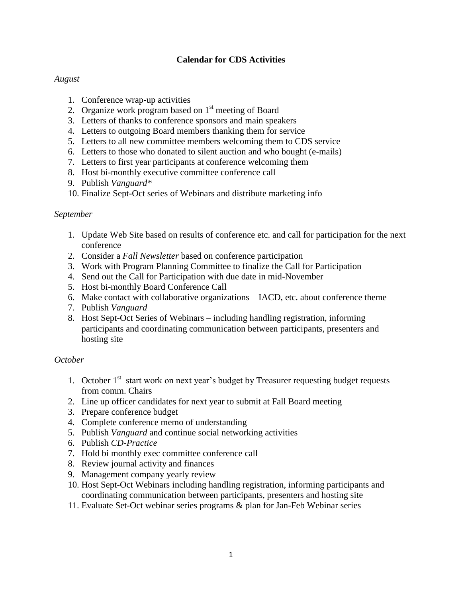# **Calendar for CDS Activities**

#### *August*

- 1. Conference wrap-up activities
- 2. Organize work program based on  $1<sup>st</sup>$  meeting of Board
- 3. Letters of thanks to conference sponsors and main speakers
- 4. Letters to outgoing Board members thanking them for service
- 5. Letters to all new committee members welcoming them to CDS service
- 6. Letters to those who donated to silent auction and who bought (e-mails)
- 7. Letters to first year participants at conference welcoming them
- 8. Host bi-monthly executive committee conference call
- 9. Publish *Vanguard\**
- 10. Finalize Sept-Oct series of Webinars and distribute marketing info

#### *September*

- 1. Update Web Site based on results of conference etc. and call for participation for the next conference
- 2. Consider a *Fall Newsletter* based on conference participation
- 3. Work with Program Planning Committee to finalize the Call for Participation
- 4. Send out the Call for Participation with due date in mid-November
- 5. Host bi-monthly Board Conference Call
- 6. Make contact with collaborative organizations—IACD, etc. about conference theme
- 7. Publish *Vanguard*
- 8. Host Sept-Oct Series of Webinars including handling registration, informing participants and coordinating communication between participants, presenters and hosting site

#### *October*

- 1. October  $1<sup>st</sup>$  start work on next year's budget by Treasurer requesting budget requests from comm. Chairs
- 2. Line up officer candidates for next year to submit at Fall Board meeting
- 3. Prepare conference budget
- 4. Complete conference memo of understanding
- 5. Publish *Vanguard* and continue social networking activities
- 6. Publish *CD-Practice*
- 7. Hold bi monthly exec committee conference call
- 8. Review journal activity and finances
- 9. Management company yearly review
- 10. Host Sept-Oct Webinars including handling registration, informing participants and coordinating communication between participants, presenters and hosting site
- 11. Evaluate Set-Oct webinar series programs & plan for Jan-Feb Webinar series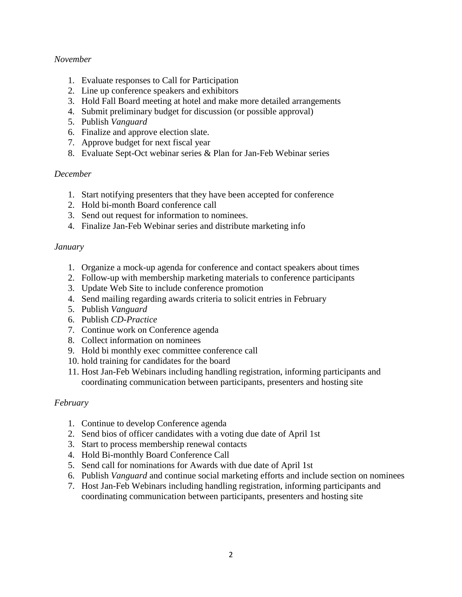#### *November*

- 1. Evaluate responses to Call for Participation
- 2. Line up conference speakers and exhibitors
- 3. Hold Fall Board meeting at hotel and make more detailed arrangements
- 4. Submit preliminary budget for discussion (or possible approval)
- 5. Publish *Vanguard*
- 6. Finalize and approve election slate.
- 7. Approve budget for next fiscal year
- 8. Evaluate Sept-Oct webinar series & Plan for Jan-Feb Webinar series

#### *December*

- 1. Start notifying presenters that they have been accepted for conference
- 2. Hold bi-month Board conference call
- 3. Send out request for information to nominees.
- 4. Finalize Jan-Feb Webinar series and distribute marketing info

#### *January*

- 1. Organize a mock-up agenda for conference and contact speakers about times
- 2. Follow-up with membership marketing materials to conference participants
- 3. Update Web Site to include conference promotion
- 4. Send mailing regarding awards criteria to solicit entries in February
- 5. Publish *Vanguard*
- 6. Publish *CD-Practice*
- 7. Continue work on Conference agenda
- 8. Collect information on nominees
- 9. Hold bi monthly exec committee conference call
- 10. hold training for candidates for the board
- 11. Host Jan-Feb Webinars including handling registration, informing participants and coordinating communication between participants, presenters and hosting site

#### *February*

- 1. Continue to develop Conference agenda
- 2. Send bios of officer candidates with a voting due date of April 1st
- 3. Start to process membership renewal contacts
- 4. Hold Bi-monthly Board Conference Call
- 5. Send call for nominations for Awards with due date of April 1st
- 6. Publish *Vanguard* and continue social marketing efforts and include section on nominees
- 7. Host Jan-Feb Webinars including handling registration, informing participants and coordinating communication between participants, presenters and hosting site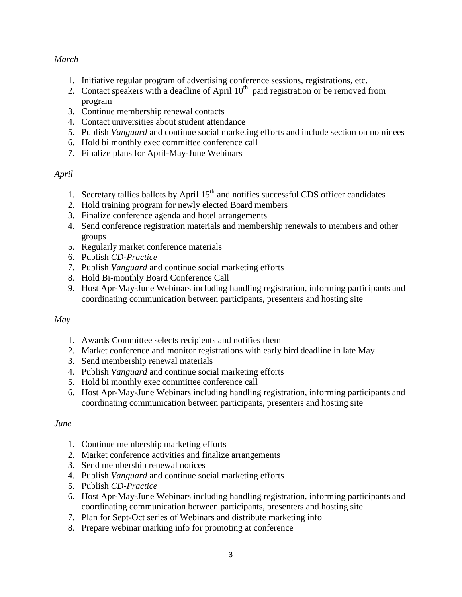## *March*

- 1. Initiative regular program of advertising conference sessions, registrations, etc.
- 2. Contact speakers with a deadline of April  $10<sup>th</sup>$  paid registration or be removed from program
- 3. Continue membership renewal contacts
- 4. Contact universities about student attendance
- 5. Publish *Vanguard* and continue social marketing efforts and include section on nominees
- 6. Hold bi monthly exec committee conference call
- 7. Finalize plans for April-May-June Webinars

# *April*

- 1. Secretary tallies ballots by April  $15<sup>th</sup>$  and notifies successful CDS officer candidates
- 2. Hold training program for newly elected Board members
- 3. Finalize conference agenda and hotel arrangements
- 4. Send conference registration materials and membership renewals to members and other groups
- 5. Regularly market conference materials
- 6. Publish *CD-Practice*
- 7. Publish *Vanguard* and continue social marketing efforts
- 8. Hold Bi-monthly Board Conference Call
- 9. Host Apr-May-June Webinars including handling registration, informing participants and coordinating communication between participants, presenters and hosting site

# *May*

- 1. Awards Committee selects recipients and notifies them
- 2. Market conference and monitor registrations with early bird deadline in late May
- 3. Send membership renewal materials
- 4. Publish *Vanguard* and continue social marketing efforts
- 5. Hold bi monthly exec committee conference call
- 6. Host Apr-May-June Webinars including handling registration, informing participants and coordinating communication between participants, presenters and hosting site

## *June*

- 1. Continue membership marketing efforts
- 2. Market conference activities and finalize arrangements
- 3. Send membership renewal notices
- 4. Publish *Vanguard* and continue social marketing efforts
- 5. Publish *CD-Practice*
- 6. Host Apr-May-June Webinars including handling registration, informing participants and coordinating communication between participants, presenters and hosting site
- 7. Plan for Sept-Oct series of Webinars and distribute marketing info
- 8. Prepare webinar marking info for promoting at conference